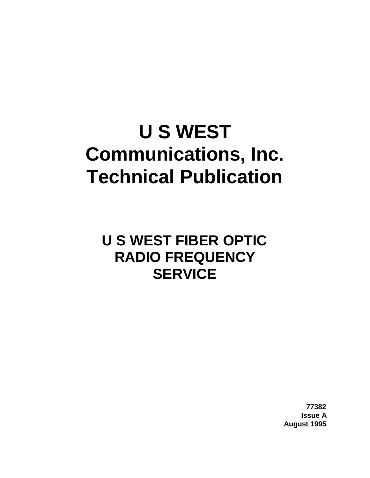# **U S WEST Communications, Inc. Technical Publication**

## **U S WEST FIBER OPTIC RADIO FREQUENCY SERVICE**

**77382 Issue A August 1995**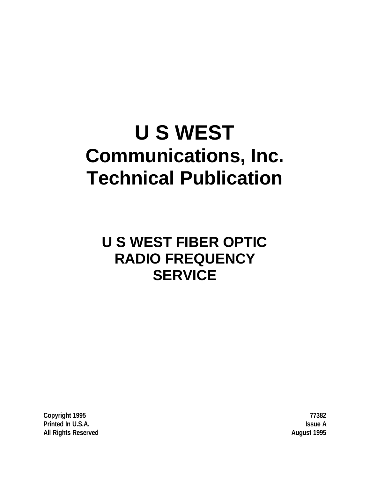# **U S WEST Communications, Inc. Technical Publication**

## **U S WEST FIBER OPTIC RADIO FREQUENCY SERVICE**

**Copyright 1995 77382 Printed In U.S.A. Issue A All Rights Reserved August 1995**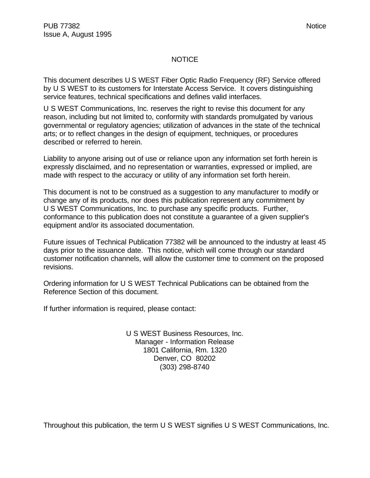#### NOTICE

This document describes U S WEST Fiber Optic Radio Frequency (RF) Service offered by U S WEST to its customers for Interstate Access Service. It covers distinguishing service features, technical specifications and defines valid interfaces.

U S WEST Communications, Inc. reserves the right to revise this document for any reason, including but not limited to, conformity with standards promulgated by various governmental or regulatory agencies; utilization of advances in the state of the technical arts; or to reflect changes in the design of equipment, techniques, or procedures described or referred to herein.

Liability to anyone arising out of use or reliance upon any information set forth herein is expressly disclaimed, and no representation or warranties, expressed or implied, are made with respect to the accuracy or utility of any information set forth herein.

This document is not to be construed as a suggestion to any manufacturer to modify or change any of its products, nor does this publication represent any commitment by U S WEST Communications, Inc. to purchase any specific products. Further, conformance to this publication does not constitute a guarantee of a given supplier's equipment and/or its associated documentation.

Future issues of Technical Publication 77382 will be announced to the industry at least 45 days prior to the issuance date. This notice, which will come through our standard customer notification channels, will allow the customer time to comment on the proposed revisions.

Ordering information for U S WEST Technical Publications can be obtained from the Reference Section of this document.

If further information is required, please contact:

U S WEST Business Resources, Inc. Manager - Information Release 1801 California, Rm. 1320 Denver, CO 80202 (303) 298-8740

Throughout this publication, the term U S WEST signifies U S WEST Communications, Inc.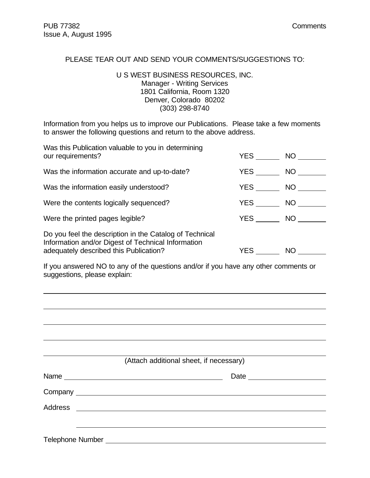$\overline{a}$ 

#### PLEASE TEAR OUT AND SEND YOUR COMMENTS/SUGGESTIONS TO:

#### U S WEST BUSINESS RESOURCES, INC. Manager - Writing Services 1801 California, Room 1320 Denver, Colorado 80202 (303) 298-8740

Information from you helps us to improve our Publications. Please take a few moments to answer the following questions and return to the above address.

| Was this Publication valuable to you in determining<br>our requirements?                                                                                | YES        | NO D         |
|---------------------------------------------------------------------------------------------------------------------------------------------------------|------------|--------------|
| Was the information accurate and up-to-date?                                                                                                            | YES        | NO <b>NO</b> |
| Was the information easily understood?                                                                                                                  | <b>YES</b> | NO           |
| Were the contents logically sequenced?                                                                                                                  | YES        | NO           |
| Were the printed pages legible?                                                                                                                         | <b>YES</b> | NO.          |
| Do you feel the description in the Catalog of Technical<br>Information and/or Digest of Technical Information<br>adequately described this Publication? | YES        | NO           |

If you answered NO to any of the questions and/or if you have any other comments or suggestions, please explain:

|                  | (Attach additional sheet, if necessary)                                                                                                                                                                                        |  |
|------------------|--------------------------------------------------------------------------------------------------------------------------------------------------------------------------------------------------------------------------------|--|
|                  | Name experience and the second contract of the second second contract of the second second contract of the second second second second second second second second second second second second second second second second sec |  |
|                  |                                                                                                                                                                                                                                |  |
|                  |                                                                                                                                                                                                                                |  |
|                  |                                                                                                                                                                                                                                |  |
| Telephone Number |                                                                                                                                                                                                                                |  |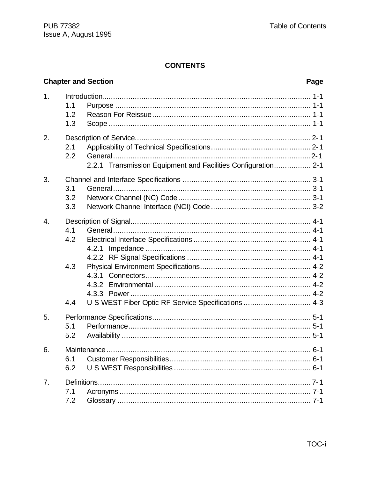#### **CONTENTS**

|    |                          | <b>Chapter and Section</b>                                    | Page |
|----|--------------------------|---------------------------------------------------------------|------|
| 1. | 1.1<br>1.2<br>1.3        |                                                               |      |
| 2. | 2.1<br>2.2               | 2.2.1 Transmission Equipment and Facilities Configuration 2-1 |      |
| 3. | 3.1<br>3.2<br>3.3        |                                                               |      |
| 4. | 4.1<br>4.2<br>4.3<br>4.4 | U S WEST Fiber Optic RF Service Specifications  4-3           |      |
| 5. | 5.1<br>5.2               |                                                               |      |
| 6. | 6.1<br>6.2               |                                                               |      |
| 7. | 7.1<br>7.2               |                                                               |      |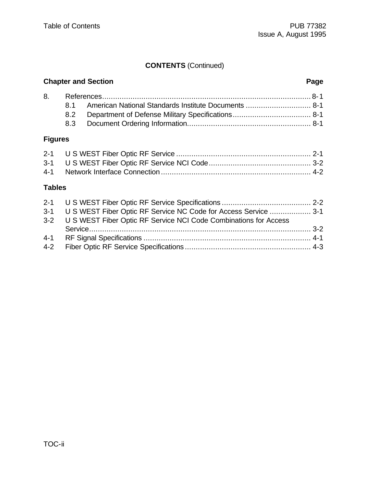#### **CONTENTS** (Continued)

#### **Chapter and Section Page** 8. References................................................................................................ 8-1 8.1 American National Standards Institute Documents .............................. 8-1 8.2 Department of Defense Military Specifications.................................... 8-1 8.3 Document Ordering Information......................................................... 8-1

#### **Figures**

#### **Tables**

| 3-1 U S WEST Fiber Optic RF Service NC Code for Access Service  3-1  |  |
|----------------------------------------------------------------------|--|
| 3-2 U S WEST Fiber Optic RF Service NCI Code Combinations for Access |  |
|                                                                      |  |
|                                                                      |  |
|                                                                      |  |
|                                                                      |  |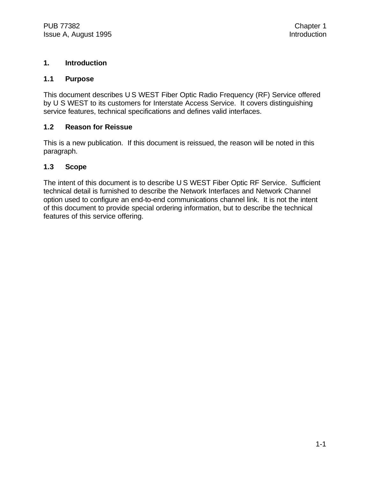#### **1. Introduction**

#### **1.1 Purpose**

This document describes U S WEST Fiber Optic Radio Frequency (RF) Service offered by U S WEST to its customers for Interstate Access Service. It covers distinguishing service features, technical specifications and defines valid interfaces.

#### **1.2 Reason for Reissue**

This is a new publication. If this document is reissued, the reason will be noted in this paragraph.

#### **1.3 Scope**

The intent of this document is to describe U S WEST Fiber Optic RF Service. Sufficient technical detail is furnished to describe the Network Interfaces and Network Channel option used to configure an end-to-end communications channel link. It is not the intent of this document to provide special ordering information, but to describe the technical features of this service offering.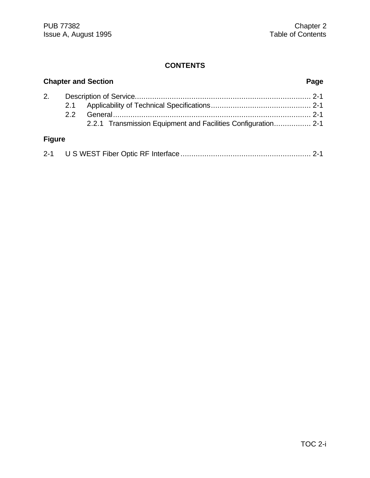#### **CONTENTS**

|               | <b>Chapter and Section</b><br>Page |                                                               |  |  |  |  |
|---------------|------------------------------------|---------------------------------------------------------------|--|--|--|--|
| 2.            | 2.1                                |                                                               |  |  |  |  |
|               | $2.2^{\circ}$                      |                                                               |  |  |  |  |
|               |                                    | 2.2.1 Transmission Equipment and Facilities Configuration 2-1 |  |  |  |  |
| <b>Figure</b> |                                    |                                                               |  |  |  |  |
|               |                                    |                                                               |  |  |  |  |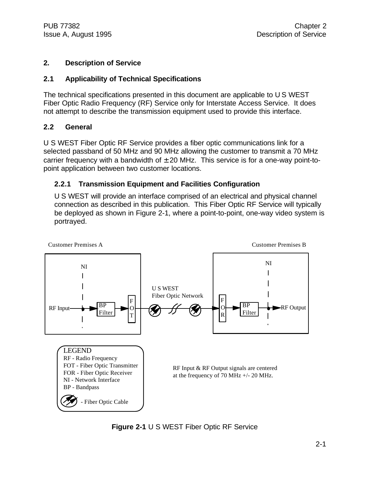#### **2. Description of Service**

#### **2.1 Applicability of Technical Specifications**

The technical specifications presented in this document are applicable to U S WEST Fiber Optic Radio Frequency (RF) Service only for Interstate Access Service. It does not attempt to describe the transmission equipment used to provide this interface.

#### **2.2 General**

U S WEST Fiber Optic RF Service provides a fiber optic communications link for a selected passband of 50 MHz and 90 MHz allowing the customer to transmit a 70 MHz carrier frequency with a bandwidth of  $\pm$  20 MHz. This service is for a one-way point-topoint application between two customer locations.

#### **2.2.1 Transmission Equipment and Facilities Configuration**

U S WEST will provide an interface comprised of an electrical and physical channel connection as described in this publication. This Fiber Optic RF Service will typically be deployed as shown in Figure 2-1, where a point-to-point, one-way video system is portrayed.



**Figure 2-1** U S WEST Fiber Optic RF Service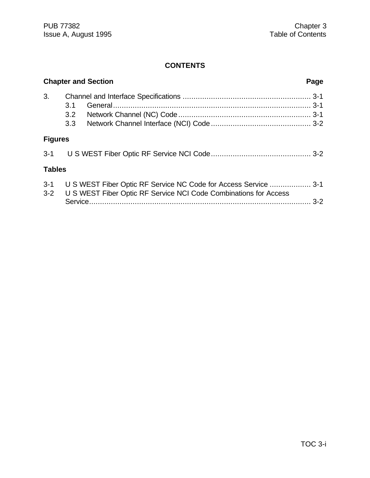#### **CONTENTS**

|     |                                 | Page                                                                                                                                                              |
|-----|---------------------------------|-------------------------------------------------------------------------------------------------------------------------------------------------------------------|
|     |                                 |                                                                                                                                                                   |
| 3.1 |                                 |                                                                                                                                                                   |
| 3.2 |                                 |                                                                                                                                                                   |
| 3.3 |                                 |                                                                                                                                                                   |
|     |                                 |                                                                                                                                                                   |
|     |                                 |                                                                                                                                                                   |
|     |                                 |                                                                                                                                                                   |
|     |                                 |                                                                                                                                                                   |
|     | <b>Figures</b><br><b>Tables</b> | <b>Chapter and Section</b><br>U S WEST Fiber Optic RF Service NC Code for Access Service  3-1<br>U S WEST Fiber Optic RF Service NCI Code Combinations for Access |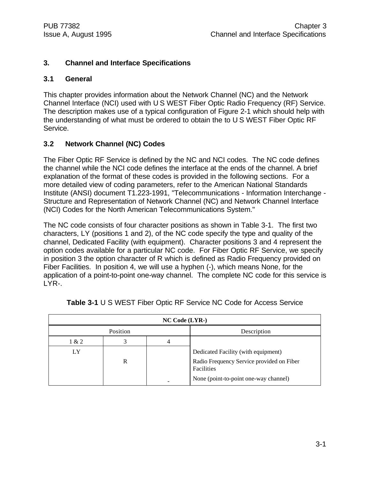#### **3. Channel and Interface Specifications**

#### **3.1 General**

This chapter provides information about the Network Channel (NC) and the Network Channel Interface (NCI) used with U S WEST Fiber Optic Radio Frequency (RF) Service. The description makes use of a typical configuration of Figure 2-1 which should help with the understanding of what must be ordered to obtain the to U S WEST Fiber Optic RF Service.

#### **3.2 Network Channel (NC) Codes**

The Fiber Optic RF Service is defined by the NC and NCI codes. The NC code defines the channel while the NCI code defines the interface at the ends of the channel. A brief explanation of the format of these codes is provided in the following sections. For a more detailed view of coding parameters, refer to the American National Standards Institute (ANSI) document T1.223-1991, "Telecommunications - Information Interchange - Structure and Representation of Network Channel (NC) and Network Channel Interface (NCI) Codes for the North American Telecommunications System."

The NC code consists of four character positions as shown in Table 3-1. The first two characters, LY (positions 1 and 2), of the NC code specify the type and quality of the channel, Dedicated Facility (with equipment). Character positions 3 and 4 represent the option codes available for a particular NC code. For Fiber Optic RF Service, we specify in position 3 the option character of R which is defined as Radio Frequency provided on Fiber Facilities. In position 4, we will use a hyphen (-), which means None, for the application of a point-to-point one-way channel. The complete NC code for this service is LYR-.

| $NC Code (LYR-)$ |          |  |                                                                                  |  |  |  |
|------------------|----------|--|----------------------------------------------------------------------------------|--|--|--|
|                  | Position |  | Description                                                                      |  |  |  |
| 1 & 2            |          |  |                                                                                  |  |  |  |
| LY               | R        |  | Dedicated Facility (with equipment)<br>Radio Frequency Service provided on Fiber |  |  |  |
|                  |          |  | Facilities<br>None (point-to-point one-way channel)                              |  |  |  |

|  |  |  | Table 3-1 U S WEST Fiber Optic RF Service NC Code for Access Service |  |  |  |
|--|--|--|----------------------------------------------------------------------|--|--|--|
|  |  |  |                                                                      |  |  |  |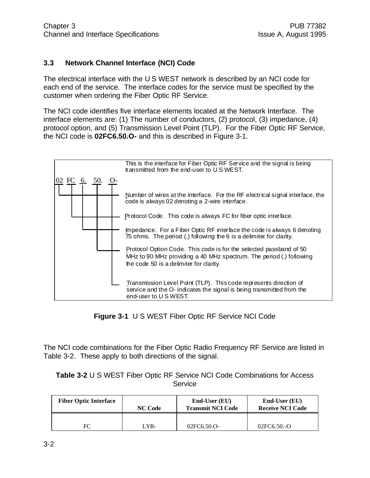#### **3.3 Network Channel Interface (NCI) Code**

The electrical interface with the U S WEST network is described by an NCI code for each end of the service. The interface codes for the service must be specified by the customer when ordering the Fiber Optic RF Service.

The NCI code identifies five interface elements located at the Network Interface. The interface elements are: (1) The number of conductors, (2) protocol, (3) impedance, (4) protocol option, and (5) Transmission Level Point (TLP). For the Fiber Optic RF Service, the NCI code is **02FC6.50.O-** and this is described in Figure 3-1.



**Figure 3-1** U S WEST Fiber Optic RF Service NCI Code

The NCI code combinations for the Fiber Optic Radio Frequency RF Service are listed in Table 3-2. These apply to both directions of the signal.

**Table 3-2** U S WEST Fiber Optic RF Service NCI Code Combinations for Access Service

| <b>Fiber Optic Interface</b> | <b>NC Code</b> | $End-User(EU)$<br><b>Transmit NCI Code</b> | $End-User(EU)$<br><b>Receive NCI Code</b> |
|------------------------------|----------------|--------------------------------------------|-------------------------------------------|
| FC                           | LYR-           | 02FC6.50.O-                                | $02FC6.50.-O$                             |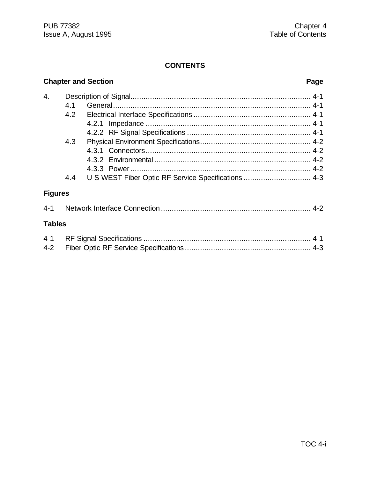#### **CONTENTS**

### **Chapter and Section Page** 4. Description of Signal................................................................................... 4-1 4.1 General........................................................................................... 4-1 4.2 Electrical Interface Specifications ...................................................... 4-1 4.2.1 Impedance ............................................................................ 4-1 4.2.2 RF Signal Specifications ......................................................... 4-1 4.3 Physical Environment Specifications................................................... 4-2 4.3.1 Connectors............................................................................ 4-2 4.3.2 Environmental ........................................................................ 4-2 4.3.3 Power................................................................................... 4-2 4.4 U S WEST Fiber Optic RF Service Specifications ................................... 4-3 **Figures** 4-1 Network Interface Connection ..................................................................... 4-2 **Tables**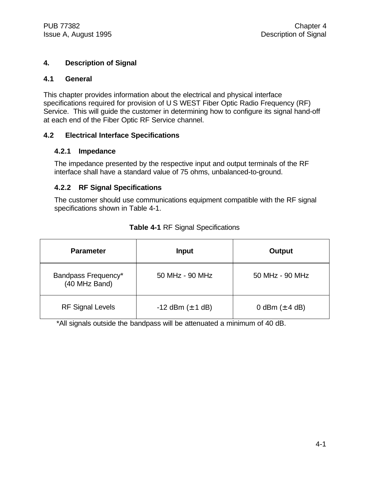#### **4. Description of Signal**

#### **4.1 General**

This chapter provides information about the electrical and physical interface specifications required for provision of U S WEST Fiber Optic Radio Frequency (RF) Service. This will guide the customer in determining how to configure its signal hand-off at each end of the Fiber Optic RF Service channel.

#### **4.2 Electrical Interface Specifications**

#### **4.2.1 Impedance**

The impedance presented by the respective input and output terminals of the RF interface shall have a standard value of 75 ohms, unbalanced-to-ground.

#### **4.2.2 RF Signal Specifications**

The customer should use communications equipment compatible with the RF signal specifications shown in Table 4-1.

| <b>Parameter</b>                     | <b>Input</b>            | Output             |
|--------------------------------------|-------------------------|--------------------|
| Bandpass Frequency*<br>(40 MHz Band) | 50 MHz - 90 MHz         | 50 MHz - 90 MHz    |
| <b>RF Signal Levels</b>              | $-12$ dBm ( $\pm$ 1 dB) | 0 dBm $(\pm 4$ dB) |

#### **Table 4-1** RF Signal Specifications

\*All signals outside the bandpass will be attenuated a minimum of 40 dB.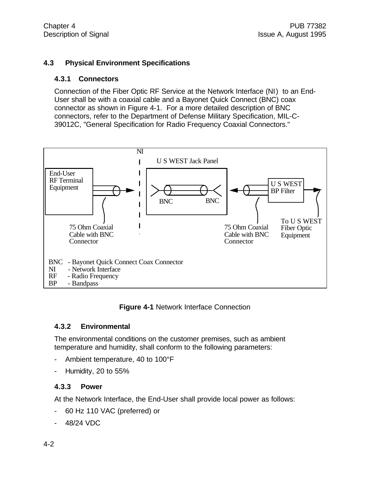#### **4.3 Physical Environment Specifications**

#### **4.3.1 Connectors**

Connection of the Fiber Optic RF Service at the Network Interface (NI) to an End-User shall be with a coaxial cable and a Bayonet Quick Connect (BNC) coax connector as shown in Figure 4-1. For a more detailed description of BNC connectors, refer to the Department of Defense Military Specification, MIL-C-39012C, "General Specification for Radio Frequency Coaxial Connectors."



**Figure 4-1** Network Interface Connection

#### **4.3.2 Environmental**

The environmental conditions on the customer premises, such as ambient temperature and humidity, shall conform to the following parameters:

- Ambient temperature, 40 to 100°F
- Humidity, 20 to 55%

#### **4.3.3 Power**

At the Network Interface, the End-User shall provide local power as follows:

- 60 Hz 110 VAC (preferred) or
- 48/24 VDC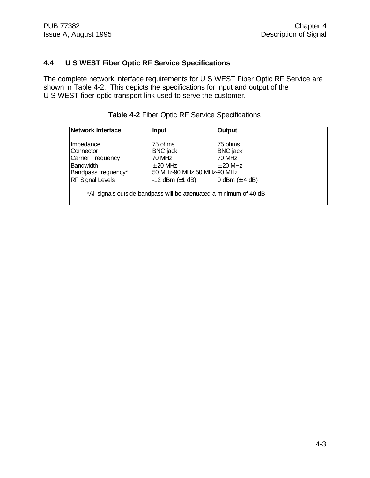#### **4.4 U S WEST Fiber Optic RF Service Specifications**

The complete network interface requirements for U S WEST Fiber Optic RF Service are shown in Table 4-2. This depicts the specifications for input and output of the U S WEST fiber optic transport link used to serve the customer.

| Network Interface       | <b>Input</b>                                                        | Output             |  |
|-------------------------|---------------------------------------------------------------------|--------------------|--|
| Impedance               | 75 ohms                                                             | 75 ohms            |  |
| Connector               | <b>BNC</b> jack                                                     | <b>BNC</b> jack    |  |
| Carrier Frequency       | 70 MHz                                                              | 70 MHz             |  |
| <b>Bandwidth</b>        | $\pm$ 20 MHz                                                        | $\pm$ 20 MHz       |  |
| Bandpass frequency*     | 50 MHz-90 MHz 50 MHz-90 MHz                                         |                    |  |
| <b>RF Signal Levels</b> | -12 dBm $(\pm 1$ dB)                                                | 0 dBm $(\pm 4$ dB) |  |
|                         | *All signals outside bandpass will be attenuated a minimum of 40 dB |                    |  |

#### **Table 4-2** Fiber Optic RF Service Specifications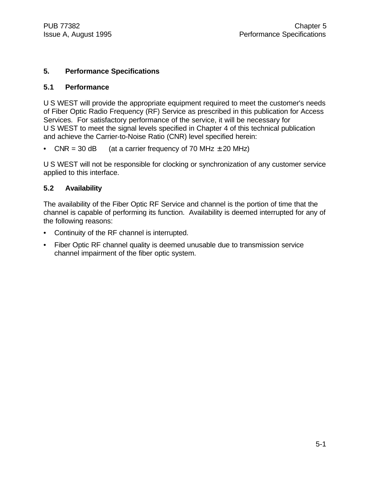#### **5. Performance Specifications**

#### **5.1 Performance**

U S WEST will provide the appropriate equipment required to meet the customer's needs of Fiber Optic Radio Frequency (RF) Service as prescribed in this publication for Access Services. For satisfactory performance of the service, it will be necessary for U S WEST to meet the signal levels specified in Chapter 4 of this technical publication and achieve the Carrier-to-Noise Ratio (CNR) level specified herein:

• CNR = 30 dB (at a carrier frequency of 70 MHz  $\pm$  20 MHz)

U S WEST will not be responsible for clocking or synchronization of any customer service applied to this interface.

#### **5.2 Availability**

The availability of the Fiber Optic RF Service and channel is the portion of time that the channel is capable of performing its function. Availability is deemed interrupted for any of the following reasons:

- Continuity of the RF channel is interrupted.
- Fiber Optic RF channel quality is deemed unusable due to transmission service channel impairment of the fiber optic system.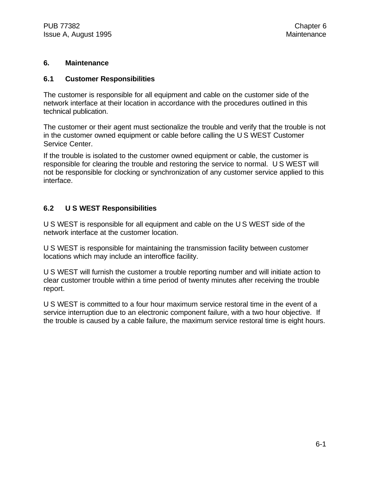#### **6. Maintenance**

#### **6.1 Customer Responsibilities**

The customer is responsible for all equipment and cable on the customer side of the network interface at their location in accordance with the procedures outlined in this technical publication.

The customer or their agent must sectionalize the trouble and verify that the trouble is not in the customer owned equipment or cable before calling the U S WEST Customer Service Center.

If the trouble is isolated to the customer owned equipment or cable, the customer is responsible for clearing the trouble and restoring the service to normal. U S WEST will not be responsible for clocking or synchronization of any customer service applied to this interface.

#### **6.2 U S WEST Responsibilities**

U S WEST is responsible for all equipment and cable on the U S WEST side of the network interface at the customer location.

U S WEST is responsible for maintaining the transmission facility between customer locations which may include an interoffice facility.

U S WEST will furnish the customer a trouble reporting number and will initiate action to clear customer trouble within a time period of twenty minutes after receiving the trouble report.

U S WEST is committed to a four hour maximum service restoral time in the event of a service interruption due to an electronic component failure, with a two hour objective. If the trouble is caused by a cable failure, the maximum service restoral time is eight hours.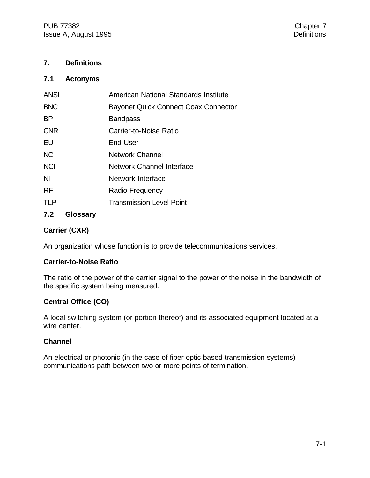#### **7. Definitions**

#### **7.1 Acronyms**

| <b>ANSI</b> | American National Standards Institute |  |
|-------------|---------------------------------------|--|
| <b>BNC</b>  | Bayonet Quick Connect Coax Connector  |  |
| <b>BP</b>   | <b>Bandpass</b>                       |  |
| <b>CNR</b>  | Carrier-to-Noise Ratio                |  |
| EU          | End-User                              |  |
| <b>NC</b>   | <b>Network Channel</b>                |  |
| <b>NCI</b>  | <b>Network Channel Interface</b>      |  |
| <b>NI</b>   | Network Interface                     |  |
| <b>RF</b>   | Radio Frequency                       |  |
| <b>TLP</b>  | <b>Transmission Level Point</b>       |  |
|             |                                       |  |

#### **7.2 Glossary**

#### **Carrier (CXR)**

An organization whose function is to provide telecommunications services.

#### **Carrier-to-Noise Ratio**

The ratio of the power of the carrier signal to the power of the noise in the bandwidth of the specific system being measured.

#### **Central Office (CO)**

A local switching system (or portion thereof) and its associated equipment located at a wire center.

#### **Channel**

An electrical or photonic (in the case of fiber optic based transmission systems) communications path between two or more points of termination.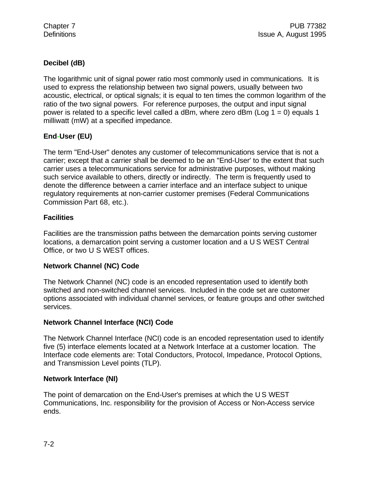#### **Decibel (dB)**

The logarithmic unit of signal power ratio most commonly used in communications. It is used to express the relationship between two signal powers, usually between two acoustic, electrical, or optical signals; it is equal to ten times the common logarithm of the ratio of the two signal powers. For reference purposes, the output and input signal power is related to a specific level called a dBm, where zero dBm (Log  $1 = 0$ ) equals 1 milliwatt (mW) at a specified impedance.

#### **End-User (EU)**

The term "End-User" denotes any customer of telecommunications service that is not a carrier; except that a carrier shall be deemed to be an "End-User' to the extent that such carrier uses a telecommunications service for administrative purposes, without making such service available to others, directly or indirectly. The term is frequently used to denote the difference between a carrier interface and an interface subject to unique regulatory requirements at non-carrier customer premises (Federal Communications Commission Part 68, etc.).

#### **Facilities**

Facilities are the transmission paths between the demarcation points serving customer locations, a demarcation point serving a customer location and a U S WEST Central Office, or two U S WEST offices.

#### **Network Channel (NC) Code**

The Network Channel (NC) code is an encoded representation used to identify both switched and non-switched channel services. Included in the code set are customer options associated with individual channel services, or feature groups and other switched services.

#### **Network Channel Interface (NCI) Code**

The Network Channel Interface (NCI) code is an encoded representation used to identify five (5) interface elements located at a Network Interface at a customer location. The Interface code elements are: Total Conductors, Protocol, Impedance, Protocol Options, and Transmission Level points (TLP).

#### **Network Interface (NI)**

The point of demarcation on the End-User's premises at which the U S WEST Communications, Inc. responsibility for the provision of Access or Non-Access service ends.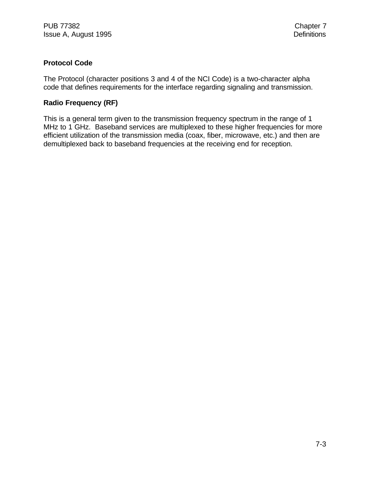#### **Protocol Code**

The Protocol (character positions 3 and 4 of the NCI Code) is a two-character alpha code that defines requirements for the interface regarding signaling and transmission.

#### **Radio Frequency (RF)**

This is a general term given to the transmission frequency spectrum in the range of 1 MHz to 1 GHz. Baseband services are multiplexed to these higher frequencies for more efficient utilization of the transmission media (coax, fiber, microwave, etc.) and then are demultiplexed back to baseband frequencies at the receiving end for reception.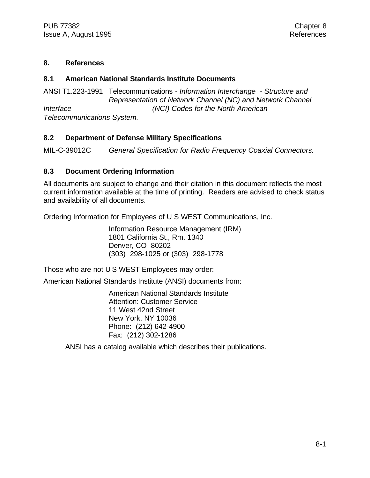#### **8. References**

#### **8.1 American National Standards Institute Documents**

ANSI T1.223-1991 Telecommunications *- Information Interchange - Structure and Representation of Network Channel (NC) and Network Channel Interface (NCI) Codes for the North American Telecommunications System.*

#### **8.2 Department of Defense Military Specifications**

MIL-C-39012C *General Specification for Radio Frequency Coaxial Connectors.*

#### **8.3 Document Ordering Information**

All documents are subject to change and their citation in this document reflects the most current information available at the time of printing. Readers are advised to check status and availability of all documents.

Ordering Information for Employees of U S WEST Communications, Inc.

Information Resource Management (IRM) 1801 California St., Rm. 1340 Denver, CO 80202 (303) 298-1025 or (303) 298-1778

Those who are not U S WEST Employees may order:

American National Standards Institute (ANSI) documents from:

American National Standards Institute Attention: Customer Service 11 West 42nd Street New York, NY 10036 Phone: (212) 642-4900 Fax: (212) 302-1286

ANSI has a catalog available which describes their publications.